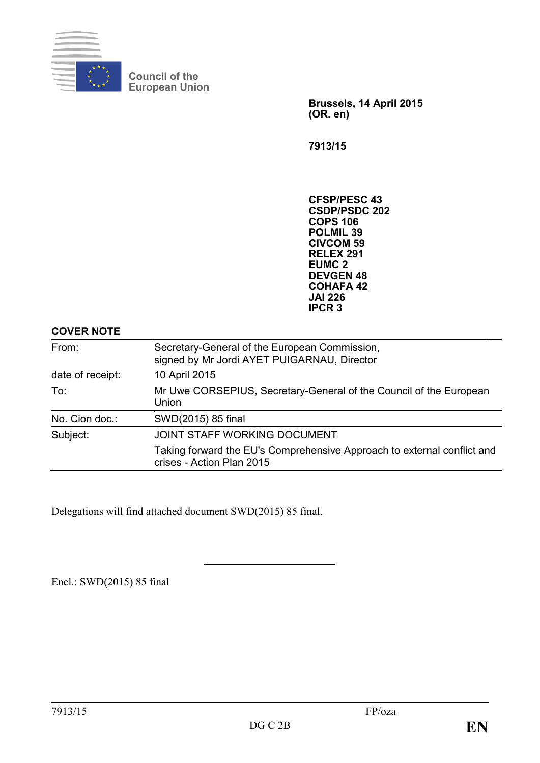

**Council of the European Union**

> **Brussels, 14 April 2015 (OR. en)**

**7913/15**

**CFSP/PESC 43 CSDP/PSDC 202 COPS 106 POLMIL 39 CIVCOM 59 RELEX 291 EUMC 2 DEVGEN 48 COHAFA 42 JAI 226 IPCR 3**

### **COVER NOTE**

| From:            | Secretary-General of the European Commission,<br>signed by Mr Jordi AYET PUIGARNAU, Director         |  |
|------------------|------------------------------------------------------------------------------------------------------|--|
| date of receipt: | 10 April 2015                                                                                        |  |
| To:              | Mr Uwe CORSEPIUS, Secretary-General of the Council of the European<br>Union                          |  |
| No. Cion doc.:   | SWD(2015) 85 final                                                                                   |  |
| Subject:         | JOINT STAFF WORKING DOCUMENT                                                                         |  |
|                  | Taking forward the EU's Comprehensive Approach to external conflict and<br>crises - Action Plan 2015 |  |

Delegations will find attached document SWD(2015) 85 final.

Encl.: SWD(2015) 85 final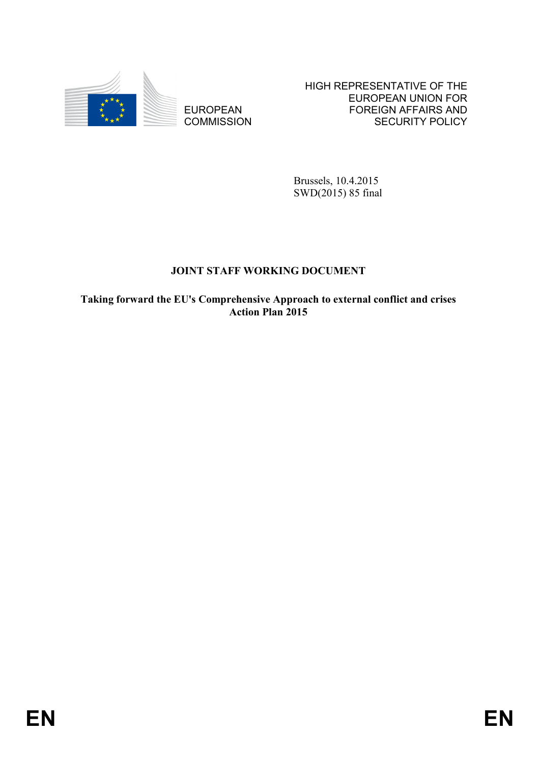

EUROPEAN **COMMISSION**  HIGH REPRESENTATIVE OF THE EUROPEAN UNION FOR FOREIGN AFFAIRS AND SECURITY POLICY

Brussels, 10.4.2015 SWD(2015) 85 final

## **JOINT STAFF WORKING DOCUMENT**

**Taking forward the EU's Comprehensive Approach to external conflict and crises Action Plan 2015**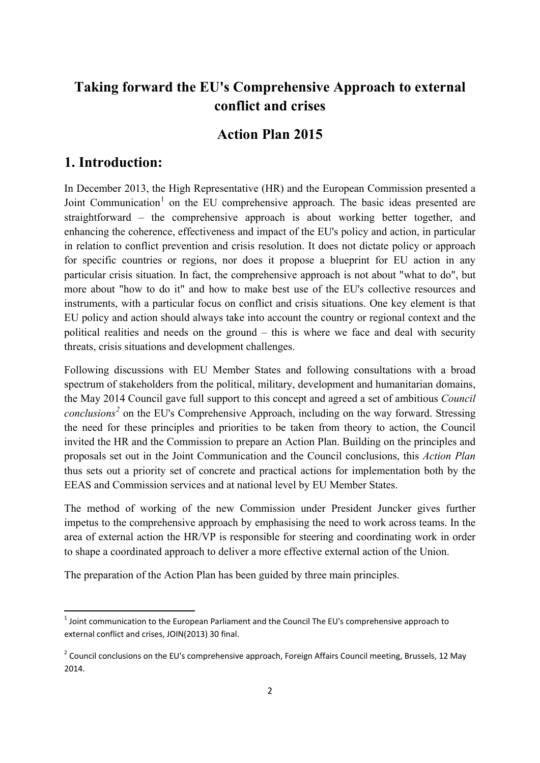# **Taking forward the EU's Comprehensive Approach to external conflict and crises**

## **Action Plan 2015**

### **1. Introduction:**

**.** 

In December 2013, the High Representative (HR) and the European Commission presented a Joint Communication<sup>[1](#page-2-0)</sup> on the EU comprehensive approach. The basic ideas presented are straightforward – the comprehensive approach is about working better together, and enhancing the coherence, effectiveness and impact of the EU's policy and action, in particular in relation to conflict prevention and crisis resolution. It does not dictate policy or approach for specific countries or regions, nor does it propose a blueprint for EU action in any particular crisis situation. In fact, the comprehensive approach is not about "what to do", but more about "how to do it" and how to make best use of the EU's collective resources and instruments, with a particular focus on conflict and crisis situations. One key element is that EU policy and action should always take into account the country or regional context and the political realities and needs on the ground – this is where we face and deal with security threats, crisis situations and development challenges.

Following discussions with EU Member States and following consultations with a broad spectrum of stakeholders from the political, military, development and humanitarian domains, the May 2014 Council gave full support to this concept and agreed a set of ambitious *Council conclusions[2](#page-2-1)* on the EU's Comprehensive Approach, including on the way forward. Stressing the need for these principles and priorities to be taken from theory to action, the Council invited the HR and the Commission to prepare an Action Plan. Building on the principles and proposals set out in the Joint Communication and the Council conclusions, this *Action Plan* thus sets out a priority set of concrete and practical actions for implementation both by the EEAS and Commission services and at national level by EU Member States.

The method of working of the new Commission under President Juncker gives further impetus to the comprehensive approach by emphasising the need to work across teams. In the area of external action the HR/VP is responsible for steering and coordinating work in order to shape a coordinated approach to deliver a more effective external action of the Union.

The preparation of the Action Plan has been guided by three main principles.

<span id="page-2-0"></span> $1$  Joint communication to the European Parliament and the Council The EU's comprehensive approach to external conflict and crises, JOIN(2013) 30 final.

<span id="page-2-1"></span><sup>&</sup>lt;sup>2</sup> Council conclusions on the EU's comprehensive approach, Foreign Affairs Council meeting, Brussels, 12 May 2014.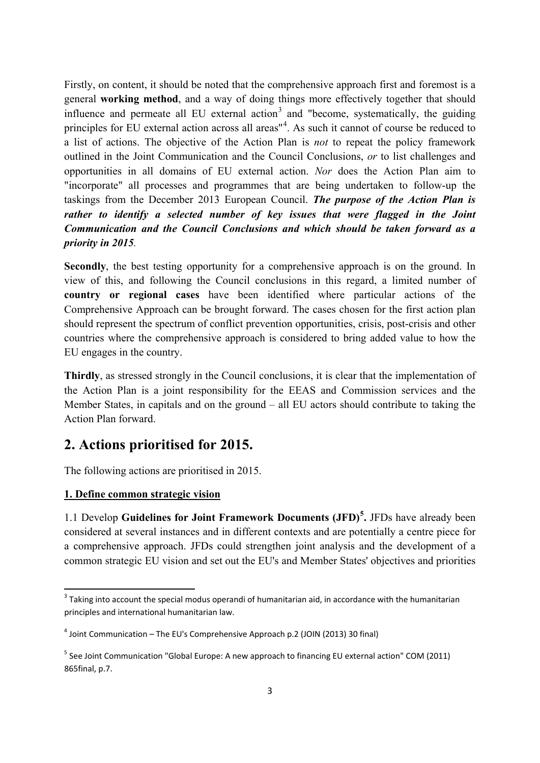Firstly, on content, it should be noted that the comprehensive approach first and foremost is a general **working method**, and a way of doing things more effectively together that should influence and permeate all EU external action<sup>[3](#page-3-0)</sup> and "become, systematically, the guiding principles for EU external action across all areas<sup>"[4](#page-3-1)</sup>. As such it cannot of course be reduced to a list of actions. The objective of the Action Plan is *not* to repeat the policy framework outlined in the Joint Communication and the Council Conclusions, *or* to list challenges and opportunities in all domains of EU external action. *Nor* does the Action Plan aim to "incorporate" all processes and programmes that are being undertaken to follow-up the taskings from the December 2013 European Council. *The purpose of the Action Plan is rather to identify a selected number of key issues that were flagged in the Joint Communication and the Council Conclusions and which should be taken forward as a priority in 2015.*

**Secondly**, the best testing opportunity for a comprehensive approach is on the ground. In view of this, and following the Council conclusions in this regard, a limited number of **country or regional cases** have been identified where particular actions of the Comprehensive Approach can be brought forward. The cases chosen for the first action plan should represent the spectrum of conflict prevention opportunities, crisis, post-crisis and other countries where the comprehensive approach is considered to bring added value to how the EU engages in the country.

**Thirdly**, as stressed strongly in the Council conclusions, it is clear that the implementation of the Action Plan is a joint responsibility for the EEAS and Commission services and the Member States, in capitals and on the ground – all EU actors should contribute to taking the Action Plan forward.

## **2. Actions prioritised for 2015.**

The following actions are prioritised in 2015.

### **1. Define common strategic vision**

**.** 

1.1 Develop **Guidelines for Joint Framework Documents (JFD)[5](#page-3-2) .** JFDs have already been considered at several instances and in different contexts and are potentially a centre piece for a comprehensive approach. JFDs could strengthen joint analysis and the development of a common strategic EU vision and set out the EU's and Member States' objectives and priorities

<span id="page-3-0"></span><sup>&</sup>lt;sup>3</sup> Taking into account the special modus operandi of humanitarian aid, in accordance with the humanitarian principles and international humanitarian law.

<span id="page-3-1"></span> $4$  Joint Communication – The EU's Comprehensive Approach p.2 (JOIN (2013) 30 final)

<span id="page-3-2"></span> $<sup>5</sup>$  See Joint Communication "Global Europe: A new approach to financing EU external action" COM (2011)</sup> 865final, p.7.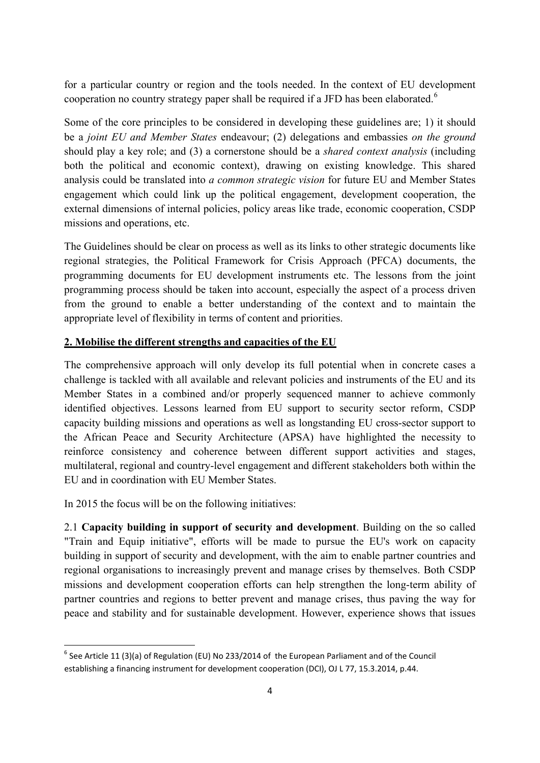for a particular country or region and the tools needed. In the context of EU development cooperation no country strategy paper shall be required if a JFD has been elaborated.<sup>[6](#page-4-0)</sup>

Some of the core principles to be considered in developing these guidelines are; 1) it should be a *joint EU and Member States* endeavour; (2) delegations and embassies *on the ground* should play a key role; and (3) a cornerstone should be a *shared context analysis* (including both the political and economic context), drawing on existing knowledge. This shared analysis could be translated into *a common strategic vision* for future EU and Member States engagement which could link up the political engagement, development cooperation, the external dimensions of internal policies, policy areas like trade, economic cooperation, CSDP missions and operations, etc.

The Guidelines should be clear on process as well as its links to other strategic documents like regional strategies, the Political Framework for Crisis Approach (PFCA) documents, the programming documents for EU development instruments etc. The lessons from the joint programming process should be taken into account, especially the aspect of a process driven from the ground to enable a better understanding of the context and to maintain the appropriate level of flexibility in terms of content and priorities.

### **2. Mobilise the different strengths and capacities of the EU**

The comprehensive approach will only develop its full potential when in concrete cases a challenge is tackled with all available and relevant policies and instruments of the EU and its Member States in a combined and/or properly sequenced manner to achieve commonly identified objectives. Lessons learned from EU support to security sector reform, CSDP capacity building missions and operations as well as longstanding EU cross-sector support to the African Peace and Security Architecture (APSA) have highlighted the necessity to reinforce consistency and coherence between different support activities and stages, multilateral, regional and country-level engagement and different stakeholders both within the EU and in coordination with EU Member States.

In 2015 the focus will be on the following initiatives:

**.** 

2.1 **Capacity building in support of security and development**. Building on the so called "Train and Equip initiative", efforts will be made to pursue the EU's work on capacity building in support of security and development, with the aim to enable partner countries and regional organisations to increasingly prevent and manage crises by themselves. Both CSDP missions and development cooperation efforts can help strengthen the long-term ability of partner countries and regions to better prevent and manage crises, thus paving the way for peace and stability and for sustainable development. However, experience shows that issues

<span id="page-4-0"></span> $6$  See Article 11 (3)(a) of Regulation (EU) No 233/2014 of the European Parliament and of the Council establishing a financing instrument for development cooperation (DCI), OJ L 77, 15.3.2014, p.44.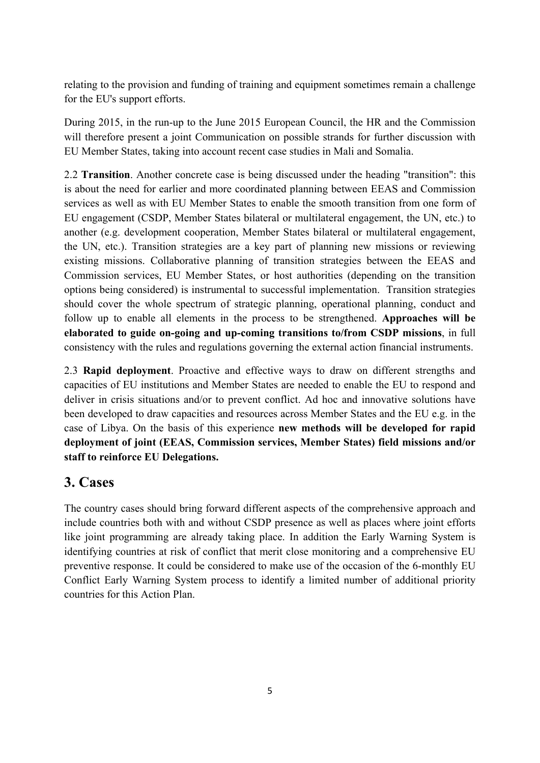relating to the provision and funding of training and equipment sometimes remain a challenge for the EU's support efforts.

During 2015, in the run-up to the June 2015 European Council, the HR and the Commission will therefore present a joint Communication on possible strands for further discussion with EU Member States, taking into account recent case studies in Mali and Somalia.

2.2 **Transition**. Another concrete case is being discussed under the heading "transition": this is about the need for earlier and more coordinated planning between EEAS and Commission services as well as with EU Member States to enable the smooth transition from one form of EU engagement (CSDP, Member States bilateral or multilateral engagement, the UN, etc.) to another (e.g. development cooperation, Member States bilateral or multilateral engagement, the UN, etc.). Transition strategies are a key part of planning new missions or reviewing existing missions. Collaborative planning of transition strategies between the EEAS and Commission services, EU Member States, or host authorities (depending on the transition options being considered) is instrumental to successful implementation. Transition strategies should cover the whole spectrum of strategic planning, operational planning, conduct and follow up to enable all elements in the process to be strengthened. **Approaches will be elaborated to guide on-going and up-coming transitions to/from CSDP missions**, in full consistency with the rules and regulations governing the external action financial instruments.

2.3 **Rapid deployment**. Proactive and effective ways to draw on different strengths and capacities of EU institutions and Member States are needed to enable the EU to respond and deliver in crisis situations and/or to prevent conflict. Ad hoc and innovative solutions have been developed to draw capacities and resources across Member States and the EU e.g. in the case of Libya. On the basis of this experience **new methods will be developed for rapid deployment of joint (EEAS, Commission services, Member States) field missions and/or staff to reinforce EU Delegations.**

## **3. Cases**

The country cases should bring forward different aspects of the comprehensive approach and include countries both with and without CSDP presence as well as places where joint efforts like joint programming are already taking place. In addition the Early Warning System is identifying countries at risk of conflict that merit close monitoring and a comprehensive EU preventive response. It could be considered to make use of the occasion of the 6-monthly EU Conflict Early Warning System process to identify a limited number of additional priority countries for this Action Plan.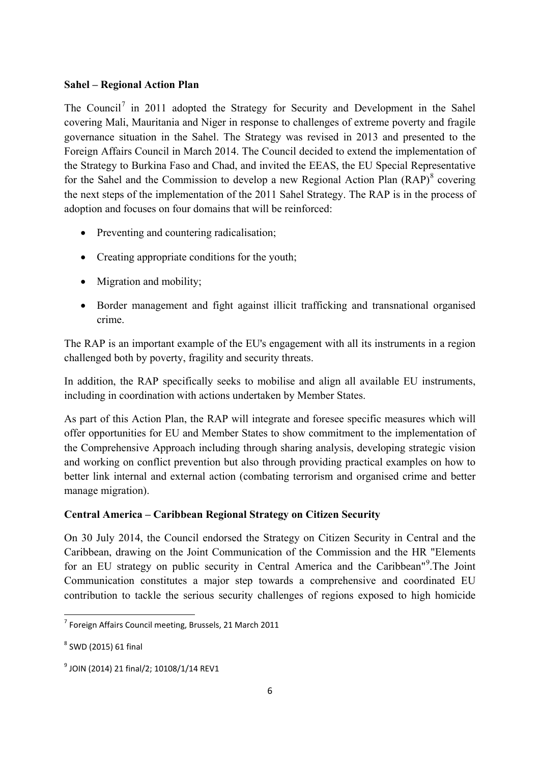#### **Sahel – Regional Action Plan**

The Council<sup>[7](#page-6-0)</sup> in 2011 adopted the Strategy for Security and Development in the Sahel covering Mali, Mauritania and Niger in response to challenges of extreme poverty and fragile governance situation in the Sahel. The Strategy was revised in 2013 and presented to the Foreign Affairs Council in March 2014. The Council decided to extend the implementation of the Strategy to Burkina Faso and Chad, and invited the EEAS, the EU Special Representative for the Sahel and the Commission to develop a new Regional Action Plan  $(RAP)^8$  $(RAP)^8$  covering the next steps of the implementation of the 2011 Sahel Strategy. The RAP is in the process of adoption and focuses on four domains that will be reinforced:

- Preventing and countering radicalisation;
- Creating appropriate conditions for the youth;
- Migration and mobility;
- Border management and fight against illicit trafficking and transnational organised crime.

The RAP is an important example of the EU's engagement with all its instruments in a region challenged both by poverty, fragility and security threats.

In addition, the RAP specifically seeks to mobilise and align all available EU instruments, including in coordination with actions undertaken by Member States.

As part of this Action Plan, the RAP will integrate and foresee specific measures which will offer opportunities for EU and Member States to show commitment to the implementation of the Comprehensive Approach including through sharing analysis, developing strategic vision and working on conflict prevention but also through providing practical examples on how to better link internal and external action (combating terrorism and organised crime and better manage migration).

### **Central America – Caribbean Regional Strategy on Citizen Security**

On 30 July 2014, the Council endorsed the Strategy on Citizen Security in Central and the Caribbean, drawing on the Joint Communication of the Commission and the HR "Elements for an EU strategy on public security in Central America and the Caribbean"<sup>[9](#page-6-2)</sup>. The Joint Communication constitutes a major step towards a comprehensive and coordinated EU contribution to tackle the serious security challenges of regions exposed to high homicide

**.** 

<span id="page-6-0"></span> $7$  Foreign Affairs Council meeting, Brussels, 21 March 2011

<span id="page-6-1"></span> $8$  SWD (2015) 61 final

<span id="page-6-2"></span><sup>9</sup> JOIN (2014) 21 final/2; 10108/1/14 REV1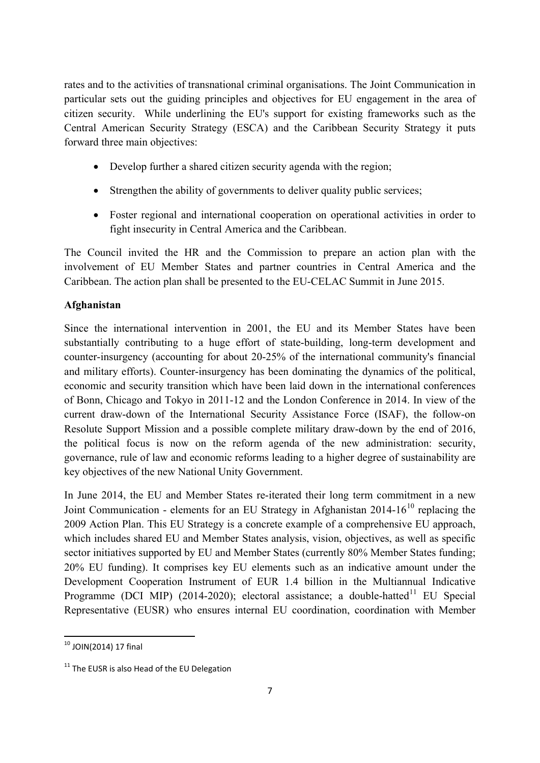rates and to the activities of transnational criminal organisations. The Joint Communication in particular sets out the guiding principles and objectives for EU engagement in the area of citizen security. While underlining the EU's support for existing frameworks such as the Central American Security Strategy (ESCA) and the Caribbean Security Strategy it puts forward three main objectives:

- Develop further a shared citizen security agenda with the region;
- Strengthen the ability of governments to deliver quality public services;
- Foster regional and international cooperation on operational activities in order to fight insecurity in Central America and the Caribbean.

The Council invited the HR and the Commission to prepare an action plan with the involvement of EU Member States and partner countries in Central America and the Caribbean. The action plan shall be presented to the EU-CELAC Summit in June 2015.

### **Afghanistan**

Since the international intervention in 2001, the EU and its Member States have been substantially contributing to a huge effort of state-building, long-term development and counter-insurgency (accounting for about 20-25% of the international community's financial and military efforts). Counter-insurgency has been dominating the dynamics of the political, economic and security transition which have been laid down in the international conferences of Bonn, Chicago and Tokyo in 2011-12 and the London Conference in 2014. In view of the current draw-down of the International Security Assistance Force (ISAF), the follow-on Resolute Support Mission and a possible complete military draw-down by the end of 2016, the political focus is now on the reform agenda of the new administration: security, governance, rule of law and economic reforms leading to a higher degree of sustainability are key objectives of the new National Unity Government.

In June 2014, the EU and Member States re-iterated their long term commitment in a new Joint Communication - elements for an EU Strategy in Afghanistan  $2014-16^{10}$  $2014-16^{10}$  $2014-16^{10}$  replacing the 2009 Action Plan. This EU Strategy is a concrete example of a comprehensive EU approach, which includes shared EU and Member States analysis, vision, objectives, as well as specific sector initiatives supported by EU and Member States (currently 80% Member States funding; 20% EU funding). It comprises key EU elements such as an indicative amount under the Development Cooperation Instrument of EUR 1.4 billion in the Multiannual Indicative Programme (DCI MIP) (2014-2020); electoral assistance; a double-hatted<sup>[11](#page-7-1)</sup> EU Special Representative (EUSR) who ensures internal EU coordination, coordination with Member

<span id="page-7-0"></span> $10$  JOIN(2014) 17 final **.** 

<span id="page-7-1"></span> $11$  The EUSR is also Head of the EU Delegation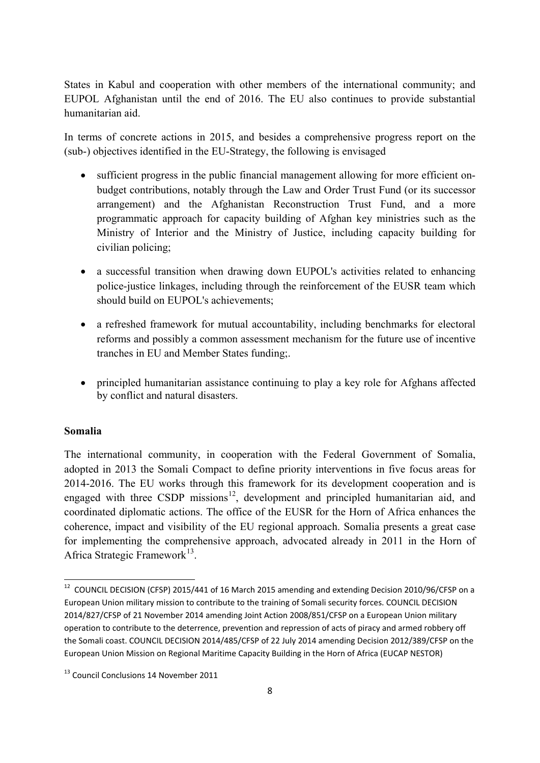States in Kabul and cooperation with other members of the international community; and EUPOL Afghanistan until the end of 2016. The EU also continues to provide substantial humanitarian aid.

In terms of concrete actions in 2015, and besides a comprehensive progress report on the (sub-) objectives identified in the EU-Strategy, the following is envisaged

- sufficient progress in the public financial management allowing for more efficient onbudget contributions, notably through the Law and Order Trust Fund (or its successor arrangement) and the Afghanistan Reconstruction Trust Fund, and a more programmatic approach for capacity building of Afghan key ministries such as the Ministry of Interior and the Ministry of Justice, including capacity building for civilian policing;
- a successful transition when drawing down EUPOL's activities related to enhancing police-justice linkages, including through the reinforcement of the EUSR team which should build on EUPOL's achievements;
- a refreshed framework for mutual accountability, including benchmarks for electoral reforms and possibly a common assessment mechanism for the future use of incentive tranches in EU and Member States funding;.
- principled humanitarian assistance continuing to play a key role for Afghans affected by conflict and natural disasters.

### **Somalia**

**.** 

The international community, in cooperation with the Federal Government of Somalia, adopted in 2013 the Somali Compact to define priority interventions in five focus areas for 2014-2016. The EU works through this framework for its development cooperation and is engaged with three CSDP missions<sup>[12](#page-8-0)</sup>, development and principled humanitarian aid, and coordinated diplomatic actions. The office of the EUSR for the Horn of Africa enhances the coherence, impact and visibility of the EU regional approach. Somalia presents a great case for implementing the comprehensive approach, advocated already in 2011 in the Horn of Africa Strategic Framework<sup>[13](#page-8-1)</sup>.

<span id="page-8-0"></span> $12$  COUNCIL DECISION (CFSP) 2015/441 of 16 March 2015 amending and extending Decision 2010/96/CFSP on a European Union military mission to contribute to the training of Somali security forces. COUNCIL DECISION 2014/827/CFSP of 21 November 2014 amending Joint Action 2008/851/CFSP on a European Union military operation to contribute to the deterrence, prevention and repression of acts of piracy and armed robbery off the Somali coast. COUNCIL DECISION 2014/485/CFSP of 22 July 2014 amending Decision 2012/389/CFSP on the European Union Mission on Regional Maritime Capacity Building in the Horn of Africa (EUCAP NESTOR)

<span id="page-8-1"></span><sup>13</sup> Council Conclusions 14 November 2011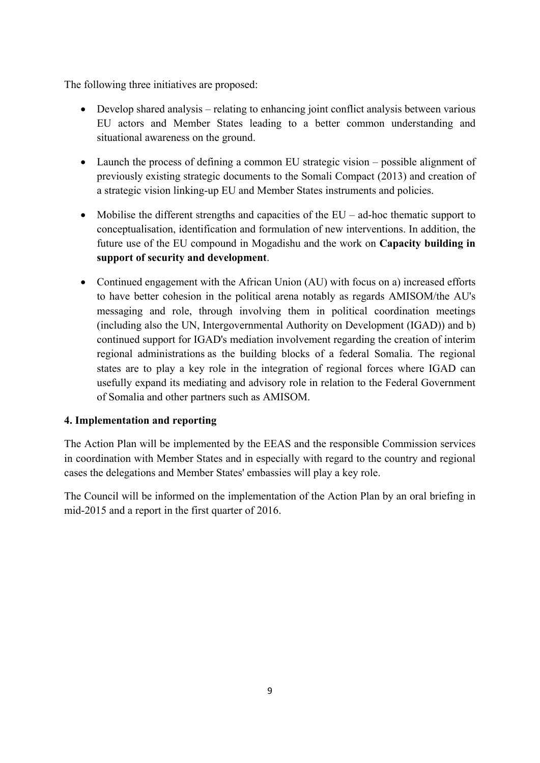The following three initiatives are proposed:

- Develop shared analysis relating to enhancing joint conflict analysis between various EU actors and Member States leading to a better common understanding and situational awareness on the ground.
- Launch the process of defining a common EU strategic vision possible alignment of previously existing strategic documents to the Somali Compact (2013) and creation of a strategic vision linking-up EU and Member States instruments and policies.
- Mobilise the different strengths and capacities of the EU ad-hoc thematic support to conceptualisation, identification and formulation of new interventions. In addition, the future use of the EU compound in Mogadishu and the work on **Capacity building in support of security and development**.
- Continued engagement with the African Union (AU) with focus on a) increased efforts to have better cohesion in the political arena notably as regards AMISOM/the AU's messaging and role, through involving them in political coordination meetings (including also the UN, Intergovernmental Authority on Development (IGAD)) and b) continued support for IGAD's mediation involvement regarding the creation of interim regional administrations as the building blocks of a federal Somalia. The regional states are to play a key role in the integration of regional forces where IGAD can usefully expand its mediating and advisory role in relation to the Federal Government of Somalia and other partners such as AMISOM.

### **4. Implementation and reporting**

The Action Plan will be implemented by the EEAS and the responsible Commission services in coordination with Member States and in especially with regard to the country and regional cases the delegations and Member States' embassies will play a key role.

The Council will be informed on the implementation of the Action Plan by an oral briefing in mid-2015 and a report in the first quarter of 2016.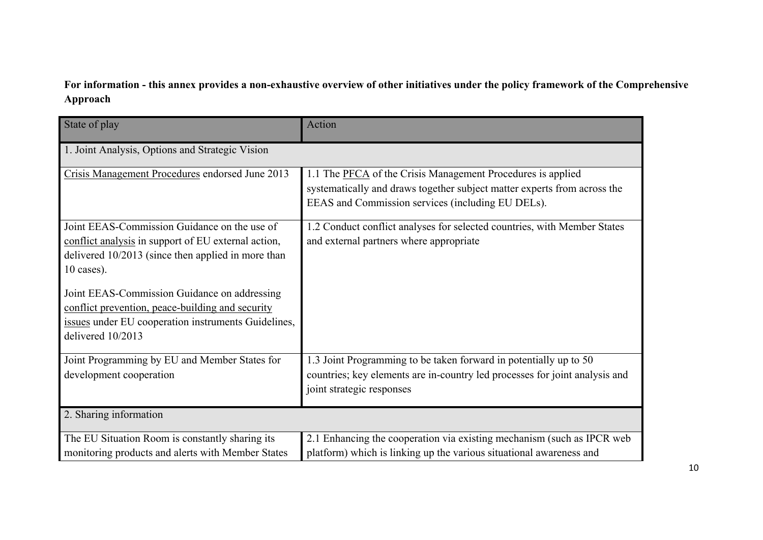## **For information - this annex provides a non-exhaustive overview of other initiatives under the policy framework of the Comprehensive Approach**

| State of play                                                                                                                                                                | Action                                                                                                                                                                                       |  |  |  |
|------------------------------------------------------------------------------------------------------------------------------------------------------------------------------|----------------------------------------------------------------------------------------------------------------------------------------------------------------------------------------------|--|--|--|
| 1. Joint Analysis, Options and Strategic Vision                                                                                                                              |                                                                                                                                                                                              |  |  |  |
| Crisis Management Procedures endorsed June 2013                                                                                                                              | 1.1 The PFCA of the Crisis Management Procedures is applied<br>systematically and draws together subject matter experts from across the<br>EEAS and Commission services (including EU DELs). |  |  |  |
| Joint EEAS-Commission Guidance on the use of<br>conflict analysis in support of EU external action,<br>delivered 10/2013 (since then applied in more than<br>$10$ cases).    | 1.2 Conduct conflict analyses for selected countries, with Member States<br>and external partners where appropriate                                                                          |  |  |  |
| Joint EEAS-Commission Guidance on addressing<br>conflict prevention, peace-building and security<br>issues under EU cooperation instruments Guidelines,<br>delivered 10/2013 |                                                                                                                                                                                              |  |  |  |
| Joint Programming by EU and Member States for<br>development cooperation                                                                                                     | 1.3 Joint Programming to be taken forward in potentially up to 50<br>countries; key elements are in-country led processes for joint analysis and<br>joint strategic responses                |  |  |  |
| 2. Sharing information                                                                                                                                                       |                                                                                                                                                                                              |  |  |  |
| The EU Situation Room is constantly sharing its<br>monitoring products and alerts with Member States                                                                         | 2.1 Enhancing the cooperation via existing mechanism (such as IPCR web<br>platform) which is linking up the various situational awareness and                                                |  |  |  |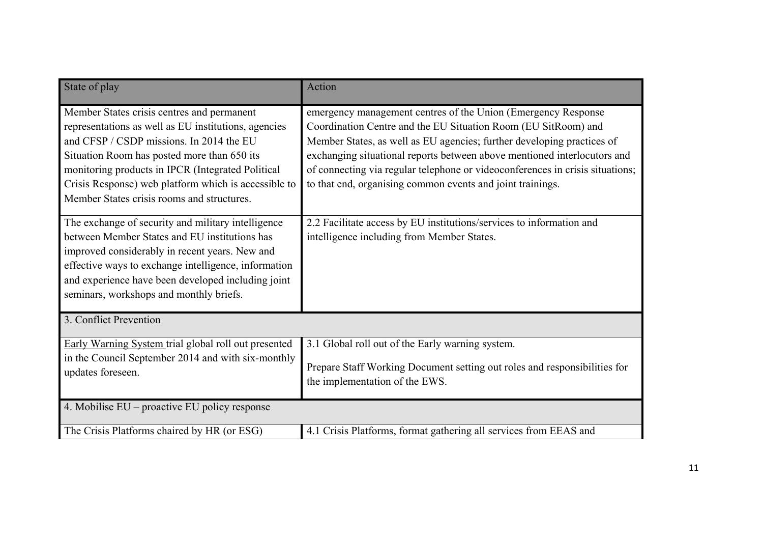| State of play                                                                                                                                                                                                                                                                                                                                            | Action                                                                                                                                                                                                                                                                                                                                                                                                                               |  |  |  |
|----------------------------------------------------------------------------------------------------------------------------------------------------------------------------------------------------------------------------------------------------------------------------------------------------------------------------------------------------------|--------------------------------------------------------------------------------------------------------------------------------------------------------------------------------------------------------------------------------------------------------------------------------------------------------------------------------------------------------------------------------------------------------------------------------------|--|--|--|
| Member States crisis centres and permanent<br>representations as well as EU institutions, agencies<br>and CFSP / CSDP missions. In 2014 the EU<br>Situation Room has posted more than 650 its<br>monitoring products in IPCR (Integrated Political<br>Crisis Response) web platform which is accessible to<br>Member States crisis rooms and structures. | emergency management centres of the Union (Emergency Response<br>Coordination Centre and the EU Situation Room (EU SitRoom) and<br>Member States, as well as EU agencies; further developing practices of<br>exchanging situational reports between above mentioned interlocutors and<br>of connecting via regular telephone or videoconferences in crisis situations;<br>to that end, organising common events and joint trainings. |  |  |  |
| The exchange of security and military intelligence<br>between Member States and EU institutions has<br>improved considerably in recent years. New and<br>effective ways to exchange intelligence, information<br>and experience have been developed including joint<br>seminars, workshops and monthly briefs.                                           | 2.2 Facilitate access by EU institutions/services to information and<br>intelligence including from Member States.                                                                                                                                                                                                                                                                                                                   |  |  |  |
| 3. Conflict Prevention                                                                                                                                                                                                                                                                                                                                   |                                                                                                                                                                                                                                                                                                                                                                                                                                      |  |  |  |
| Early Warning System trial global roll out presented<br>in the Council September 2014 and with six-monthly<br>updates foreseen.                                                                                                                                                                                                                          | 3.1 Global roll out of the Early warning system.<br>Prepare Staff Working Document setting out roles and responsibilities for<br>the implementation of the EWS.                                                                                                                                                                                                                                                                      |  |  |  |
| 4. Mobilise EU – proactive EU policy response                                                                                                                                                                                                                                                                                                            |                                                                                                                                                                                                                                                                                                                                                                                                                                      |  |  |  |
| The Crisis Platforms chaired by HR (or ESG)                                                                                                                                                                                                                                                                                                              | 4.1 Crisis Platforms, format gathering all services from EEAS and                                                                                                                                                                                                                                                                                                                                                                    |  |  |  |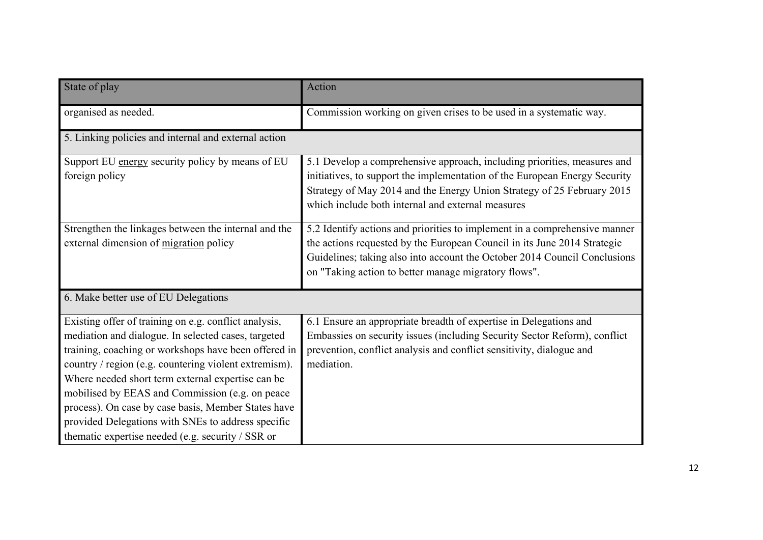| State of play                                                                                                                                                                                                                                                                                                                                                                                                                                                                                           | Action                                                                                                                                                                                                                                                                                      |  |  |  |
|---------------------------------------------------------------------------------------------------------------------------------------------------------------------------------------------------------------------------------------------------------------------------------------------------------------------------------------------------------------------------------------------------------------------------------------------------------------------------------------------------------|---------------------------------------------------------------------------------------------------------------------------------------------------------------------------------------------------------------------------------------------------------------------------------------------|--|--|--|
| organised as needed.                                                                                                                                                                                                                                                                                                                                                                                                                                                                                    | Commission working on given crises to be used in a systematic way.                                                                                                                                                                                                                          |  |  |  |
| 5. Linking policies and internal and external action                                                                                                                                                                                                                                                                                                                                                                                                                                                    |                                                                                                                                                                                                                                                                                             |  |  |  |
| Support EU energy security policy by means of EU<br>foreign policy                                                                                                                                                                                                                                                                                                                                                                                                                                      | 5.1 Develop a comprehensive approach, including priorities, measures and<br>initiatives, to support the implementation of the European Energy Security<br>Strategy of May 2014 and the Energy Union Strategy of 25 February 2015<br>which include both internal and external measures       |  |  |  |
| Strengthen the linkages between the internal and the<br>external dimension of migration policy                                                                                                                                                                                                                                                                                                                                                                                                          | 5.2 Identify actions and priorities to implement in a comprehensive manner<br>the actions requested by the European Council in its June 2014 Strategic<br>Guidelines; taking also into account the October 2014 Council Conclusions<br>on "Taking action to better manage migratory flows". |  |  |  |
| 6. Make better use of EU Delegations                                                                                                                                                                                                                                                                                                                                                                                                                                                                    |                                                                                                                                                                                                                                                                                             |  |  |  |
| Existing offer of training on e.g. conflict analysis,<br>mediation and dialogue. In selected cases, targeted<br>training, coaching or workshops have been offered in<br>country / region (e.g. countering violent extremism).<br>Where needed short term external expertise can be<br>mobilised by EEAS and Commission (e.g. on peace<br>process). On case by case basis, Member States have<br>provided Delegations with SNEs to address specific<br>thematic expertise needed (e.g. security / SSR or | 6.1 Ensure an appropriate breadth of expertise in Delegations and<br>Embassies on security issues (including Security Sector Reform), conflict<br>prevention, conflict analysis and conflict sensitivity, dialogue and<br>mediation.                                                        |  |  |  |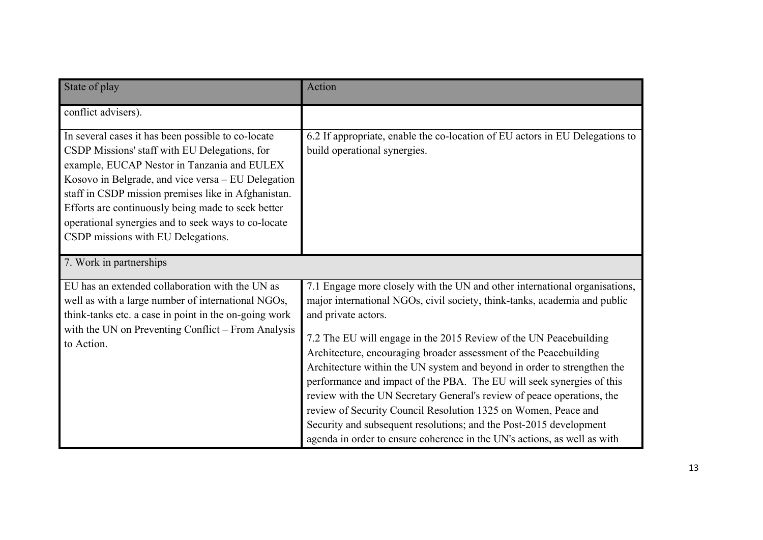| State of play                                                                                                                                                                                                                                                                                                                                                                                                      | Action                                                                                                                                                                                                                                                                                                                                                                                                                                                                                                                                                                                                                                                                                                                                                                     |  |
|--------------------------------------------------------------------------------------------------------------------------------------------------------------------------------------------------------------------------------------------------------------------------------------------------------------------------------------------------------------------------------------------------------------------|----------------------------------------------------------------------------------------------------------------------------------------------------------------------------------------------------------------------------------------------------------------------------------------------------------------------------------------------------------------------------------------------------------------------------------------------------------------------------------------------------------------------------------------------------------------------------------------------------------------------------------------------------------------------------------------------------------------------------------------------------------------------------|--|
| conflict advisers).                                                                                                                                                                                                                                                                                                                                                                                                |                                                                                                                                                                                                                                                                                                                                                                                                                                                                                                                                                                                                                                                                                                                                                                            |  |
| In several cases it has been possible to co-locate<br>CSDP Missions' staff with EU Delegations, for<br>example, EUCAP Nestor in Tanzania and EULEX<br>Kosovo in Belgrade, and vice versa - EU Delegation<br>staff in CSDP mission premises like in Afghanistan.<br>Efforts are continuously being made to seek better<br>operational synergies and to seek ways to co-locate<br>CSDP missions with EU Delegations. | 6.2 If appropriate, enable the co-location of EU actors in EU Delegations to<br>build operational synergies.                                                                                                                                                                                                                                                                                                                                                                                                                                                                                                                                                                                                                                                               |  |
| 7. Work in partnerships                                                                                                                                                                                                                                                                                                                                                                                            |                                                                                                                                                                                                                                                                                                                                                                                                                                                                                                                                                                                                                                                                                                                                                                            |  |
| EU has an extended collaboration with the UN as<br>well as with a large number of international NGOs,<br>think-tanks etc. a case in point in the on-going work<br>with the UN on Preventing Conflict – From Analysis<br>to Action.                                                                                                                                                                                 | 7.1 Engage more closely with the UN and other international organisations,<br>major international NGOs, civil society, think-tanks, academia and public<br>and private actors.<br>7.2 The EU will engage in the 2015 Review of the UN Peacebuilding<br>Architecture, encouraging broader assessment of the Peacebuilding<br>Architecture within the UN system and beyond in order to strengthen the<br>performance and impact of the PBA. The EU will seek synergies of this<br>review with the UN Secretary General's review of peace operations, the<br>review of Security Council Resolution 1325 on Women, Peace and<br>Security and subsequent resolutions; and the Post-2015 development<br>agenda in order to ensure coherence in the UN's actions, as well as with |  |